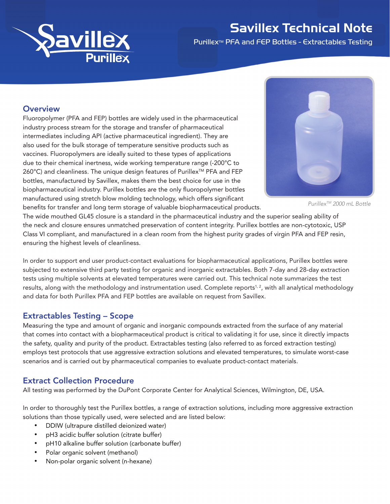

## Savillex Technical Note

Purillex™ PFA and FEP Bottles - Extractables Testing

### **Overview**

Fluoropolymer (PFA and FEP) bottles are widely used in the pharmaceutical industry process stream for the storage and transfer of pharmaceutical intermediates including API (active pharmaceutical ingredient). They are also used for the bulk storage of temperature sensitive products such as vaccines. Fluoropolymers are ideally suited to these types of applications due to their chemical inertness, wide working temperature range (-200°C to 260°C) and cleanliness. The unique design features of Purillex<sup>™</sup> PFA and FEP bottles, manufactured by Savillex, makes them the best choice for use in the biopharmaceutical industry. Purillex bottles are the only fluoropolymer bottles manufactured using stretch blow molding technology, which offers significant benefits for transfer and long term storage of valuable biopharmaceutical products.



*PurillexTM 2000 mL Bottle* 

The wide mouthed GL45 closure is a standard in the pharmaceutical industry and the superior sealing ability of the neck and closure ensures unmatched preservation of content integrity. Purillex bottles are non-cytotoxic, USP Class VI compliant, and manufactured in a clean room from the highest purity grades of virgin PFA and FEP resin, ensuring the highest levels of cleanliness.

In order to support end user product-contact evaluations for biopharmaceutical applications, Purillex bottles were subjected to extensive third party testing for organic and inorganic extractables. Both 7-day and 28-day extraction tests using multiple solvents at elevated temperatures were carried out. This technical note summarizes the test results, along with the methodology and instrumentation used. Complete reports<sup>1,2</sup>, with all analytical methodology and data for both Purillex PFA and FEP bottles are available on request from Savillex.

## Extractables Testing – Scope

Measuring the type and amount of organic and inorganic compounds extracted from the surface of any material that comes into contact with a biopharmaceutical product is critical to validating it for use, since it directly impacts the safety, quality and purity of the product. Extractables testing (also referred to as forced extraction testing) employs test protocols that use aggressive extraction solutions and elevated temperatures, to simulate worst-case scenarios and is carried out by pharmaceutical companies to evaluate product-contact materials.

## Extract Collection Procedure

All testing was performed by the DuPont Corporate Center for Analytical Sciences, Wilmington, DE, USA.

In order to thoroughly test the Purillex bottles, a range of extraction solutions, including more aggressive extraction solutions than those typically used, were selected and are listed below:

- DDIW (ultrapure distilled deionized water)
- pH3 acidic buffer solution (citrate buffer)
- pH10 alkaline buffer solution (carbonate buffer)
- Polar organic solvent (methanol)
- Non-polar organic solvent (n-hexane)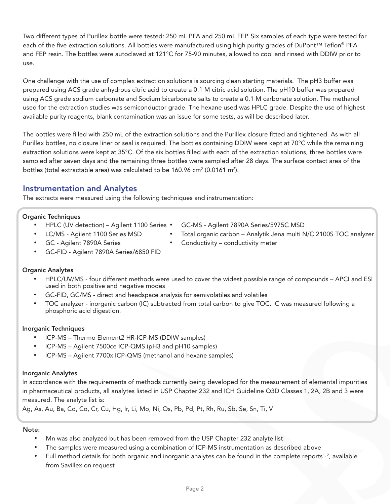Two different types of Purillex bottle were tested: 250 mL PFA and 250 mL FEP. Six samples of each type were tested for each of the five extraction solutions. All bottles were manufactured using high purity grades of DuPont™ Teflon® PFA and FEP resin. The bottles were autoclaved at 121°C for 75-90 minutes, allowed to cool and rinsed with DDIW prior to use.

One challenge with the use of complex extraction solutions is sourcing clean starting materials. The pH3 buffer was prepared using ACS grade anhydrous citric acid to create a 0.1 M citric acid solution. The pH10 buffer was prepared using ACS grade sodium carbonate and Sodium bicarbonate salts to create a 0.1 M carbonate solution. The methanol used for the extraction studies was semiconductor grade. The hexane used was HPLC grade. Despite the use of highest available purity reagents, blank contamination was an issue for some tests, as will be described later.

The bottles were filled with 250 mL of the extraction solutions and the Purillex closure fitted and tightened. As with all Purillex bottles, no closure liner or seal is required. The bottles containing DDIW were kept at 70°C while the remaining extraction solutions were kept at 35°C. Of the six bottles filled with each of the extraction solutions, three bottles were sampled after seven days and the remaining three bottles were sampled after 28 days. The surface contact area of the bottles (total extractable area) was calculated to be 160.96 cm² (0.0161 m²).

## Instrumentation and Analytes

The extracts were measured using the following techniques and instrumentation:

#### Organic Techniques

- • HPLC (UV detection) Agilent 1100 Series
- LC/MS Agilent 1100 Series MSD
- GC-MS Agilent 7890A Series/5975C MSD
- Total organic carbon Analytik Jena multi N/C 2100S TOC analyzer
- GC Agilent 7890A Series
- Conductivity conductivity meter
- GC-FID Agilent 7890A Series/6850 FID

#### Organic Analytes

- HPLC/UV/MS four different methods were used to cover the widest possible range of compounds APCI and ESI used in both positive and negative modes
- GC-FID, GC/MS direct and headspace analysis for semivolatiles and volatiles
- TOC analyzer inorganic carbon (IC) subtracted from total carbon to give TOC. IC was measured following a phosphoric acid digestion.

#### Inorganic Techniques

- ICP-MS Thermo Element2 HR-ICP-MS (DDIW samples)
- • ICP-MS Agilent 7500ce ICP-QMS (pH3 and pH10 samples)
- • ICP-MS Agilent 7700x ICP-QMS (methanol and hexane samples)

#### Inorganic Analytes

In accordance with the requirements of methods currently being developed for the measurement of elemental impurities in pharmaceutical products, all analytes listed in USP Chapter 232 and ICH Guideline Q3D Classes 1, 2A, 2B and 3 were measured. The analyte list is:

Ag, As, Au, Ba, Cd, Co, Cr, Cu, Hg, Ir, Li, Mo, Ni, Os, Pb, Pd, Pt, Rh, Ru, Sb, Se, Sn, Ti, V

#### Note:

- Mn was also analyzed but has been removed from the USP Chapter 232 analyte list
- The samples were measured using a combination of ICP-MS instrumentation as described above
- Full method details for both organic and inorganic analytes can be found in the complete reports<sup>1, 2</sup>, available from Savillex on request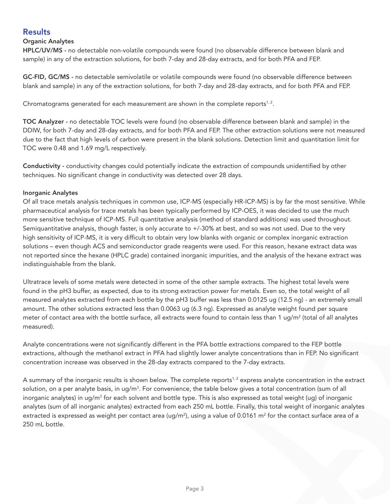## **Results**

#### Organic Analytes

HPLC/UV/MS - no detectable non-volatile compounds were found (no observable difference between blank and sample) in any of the extraction solutions, for both 7-day and 28-day extracts, and for both PFA and FEP.

GC-FID, GC/MS - no detectable semivolatile or volatile compounds were found (no observable difference between blank and sample) in any of the extraction solutions, for both 7-day and 28-day extracts, and for both PFA and FEP.

Chromatograms generated for each measurement are shown in the complete reports $1, 2$ .

TOC Analyzer - no detectable TOC levels were found (no observable difference between blank and sample) in the DDIW, for both 7-day and 28-day extracts, and for both PFA and FEP. The other extraction solutions were not measured due to the fact that high levels of carbon were present in the blank solutions. Detection limit and quantitation limit for TOC were 0.48 and 1.69 mg/L respectively.

Conductivity - conductivity changes could potentially indicate the extraction of compounds unidentified by other techniques. No significant change in conductivity was detected over 28 days.

#### Inorganic Analytes

Of all trace metals analysis techniques in common use, ICP-MS (especially HR-ICP-MS) is by far the most sensitive. While pharmaceutical analysis for trace metals has been typically performed by ICP-OES, it was decided to use the much more sensitive technique of ICP-MS. Full quantitative analysis (method of standard additions) was used throughout. Semiquantitative analysis, though faster, is only accurate to +/-30% at best, and so was not used. Due to the very high sensitivity of ICP-MS, it is very difficult to obtain very low blanks with organic or complex inorganic extraction solutions – even though ACS and semiconductor grade reagents were used. For this reason, hexane extract data was not reported since the hexane (HPLC grade) contained inorganic impurities, and the analysis of the hexane extract was indistinguishable from the blank.

Ultratrace levels of some metals were detected in some of the other sample extracts. The highest total levels were found in the pH3 buffer, as expected, due to its strong extraction power for metals. Even so, the total weight of all measured analytes extracted from each bottle by the pH3 buffer was less than 0.0125 ug (12.5 ng) - an extremely small amount. The other solutions extracted less than 0.0063 ug (6.3 ng). Expressed as analyte weight found per square meter of contact area with the bottle surface, all extracts were found to contain less than 1 ug/m² (total of all analytes measured).

Analyte concentrations were not significantly different in the PFA bottle extractions compared to the FEP bottle extractions, although the methanol extract in PFA had slightly lower analyte concentrations than in FEP. No significant concentration increase was observed in the 28-day extracts compared to the 7-day extracts.

A summary of the inorganic results is shown below. The complete reports<sup>1, 2</sup> express analyte concentration in the extract solution, on a per analyte basis, in ug/m $^3$ . For convenience, the table below gives a total concentration (sum of all inorganic analytes) in ug/m<sup>3</sup> for each solvent and bottle type. This is also expressed as total weight (ug) of inorganic analytes (sum of all inorganic analytes) extracted from each 250 mL bottle. Finally, this total weight of inorganic analytes extracted is expressed as weight per contact area (ug/m²), using a value of 0.0161 m² for the contact surface area of a 250 mL bottle.